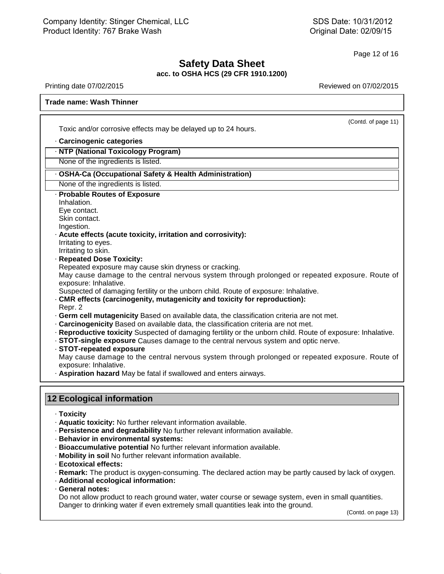## LC<br>**Safety Data Sheet**<br>OSHA HCS (29 CFR 1910.1200) **acc. to OSHA HCS (29 CFR 1910.1200)** Page 12 of 16<br> **Safety Data Sheet**<br>
acc. to OSHA HCS (29 CFR 1910.1200)<br>
Reviewed on 07/02/2015<br>
Reviewed on 07/02/2015<br>
Reviewed on 07/02/2015

(Contd. of page 11)

## **Trade name: Lacquer Thinner**

Toxic and/or corrosive effects may be delayed up to 24 hours.<br>• Carcinogenic categories<br>• NTP (National Toxicology Program) Toxic and/or corrosive effects may be delayed up to 24 hours.<br> **· Carcinogenic categories**<br> **· NTP (National Toxicology Program)**<br>
None of the ingredients is listed.

# Toxic and/or corrosive effects may be delayed up to 24 hours.<br> **· Carcinogenic categories**<br> **· NTP (National Toxicology Program)**<br>
None of the ingredients is listed.<br>
· **OSHA-Ca (Occupational Safety & Health Administration** OSHA-Ca (Occupational Safety & Health Administration)<br>None of the ingredients is listed.<br>Probable Routes of Exposure<br>Inhalation.<br>Eye contact.<br>Skin contact.

None of the ingredients is listed.

# **Rolland Concidentify Concidents:**<br> **None of the ingredients is listed.**<br> **• OSHA-Ca (Occupational Safety & Heal<br>
None of the ingredients is listed.**<br>
• **Probable Routes of Exposure**<br>
Inhalation.<br>
Eve contact.

Inhalation.<br>Eye contact.

Ingestion.

• **Probable Routes of Exposure**<br>
Inhalation.<br>
Eye contact.<br>
Skin contact.<br>
Ingestion.<br>
• **Acute effects (acute toxicity, irritation and corrosivity):**<br>
Irritating to eyes.<br>
Irritating to skin. Inhalation.<br>Eye contact.<br>Skin contact.<br>Ingestion.<br>**Acute effects (acute**<br>Irritating to eyes.<br>Irritating to skin.<br>Reneated Dose Tox Eye contact.<br>
Skin contact.<br>
Ingestion.<br> **Acute effects (acute toxicity, i**<br>
Irritating to eyes.<br>
Irritating to skin.<br> **Repeated Dose Toxicity:**<br>
Repeated exposure may cause<br>
May cause damage to the cen

Ingestion.<br>**Acute effects (acute toxicity, irritation and corrosivity):**<br>Irritating to eyes.<br>Irritating to skin.<br>**Repeated Dose Toxicity:**<br>Repeated exposure may cause skin dryness or cracking.<br>May cause damage to the centr Irritating to eyes.<br>
Irritating to skin.<br> **Repeated Dose Toxicity:**<br>
Repeated exposure may cause skin dryness or cracking.<br>
May cause damage to the central nervous system through prolonged or repeated exposure. Route of<br>
e Irritating to eyes.<br>Irritating to skin.<br>**Repeated Dose Toxicity**<br>Repeated exposure may<br>May cause damage to thexposure: Inhalative.<br>Suspected of damaging for **CMP** effects (carcinoge Irritating to skin.<br> **Repeated Dose Toxicity:**<br>
Repeated exposure may cause skin dryness or cracking.<br>
May cause damage to the central nervous system through prolonged or repeated<br>
exposure: Inhalative.<br>
Suspected of damag May cause damage to the central nervous system through prolonged or repeated exposure. Route of<br>exposure: Inhalative.<br>CMR effects (carcinogenity, mutagenicity and toxicity for reproduction):<br>CMR effects (carcinogenity, mut

- 
- · CMR effects (carcinogenity, mutagenicity and toxicity for reproduction):<br>Repr. 2<br>• Germ cell mutagenicity Based on available data, the classification criteria are not met.<br>• Carcinogenicity Based on available data, the
- 
- 
- 
- 

Reproductive toxicity Suspected of damaging fertility or the unborn child. Route of exposure: Inhalative.<br>
STOT-single exposure Causes damage to the central nervous system and optic nerve.<br>
STOT-repeated exposure<br>
May caus **Expredictive toxicity** Based on available data, the classification criteria and  $\cdot$  **Reproductive toxicity** Suspected of damaging fertility or the unborned  $\cdot$  **STOT-single exposure** Causes damage to the central nervous **12 Ecological information<br>
The fact of the central nervo<br>
<b>12 Ecological information<br>
12 Ecological information** 

- · **Toxicity**
- 
- **Ecological information<br>
· Toxicity<br>
· Aquatic toxicity: No further relevant information available.<br>
· <b>Persistence and degradability** No further relevant information available.<br>
· **Bioaccumulative potential** No further re
- 
- 
- 
- 
- **Toxicity**<br>• **Aquatic toxicity:** No further relevant information available.<br>• **Persistence and degradability** No further relevant information available.<br>• **Bioaccumulative potential** No further relevant information avail • **Persistence and degradability** No further relevant information available.<br>• **Behavior in environmental systems:**<br>• **Rioaccumulative potential** No further relevant information available.<br>• **Remark:** The product is oxygen
- 
- 

41.0

• **Mobility in soil No full School Federal notes:**<br>• **Remark:** The product • **Additional ecological School Federal notes:**<br>• **Ceneral notes:**<br>• Do not allow product • Danger to drinking wa Mobility in soil No further relevant information available.<br>
Ecotoxical effects:<br>
Remark: The product is oxygen-consuming. The declared action may be partly caused by lack of oxygen.<br>
Additional ecological information:<br>
Ge Ecotoxical effects:<br>
Remark: The product is oxygen-consuming. The declared action may be partly caus<br>
Additional ecological information:<br>
General notes:<br>
Do not allow product to reach ground water, water course or sewage s I quantities.<br>(Contd. on page 13)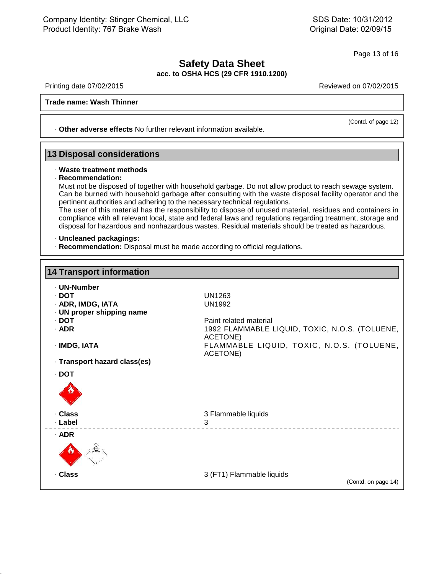## LC<br>**Safety Data Sheet**<br>OSHA HCS (29 CFR 1910.1200) **acc. to OSHA HCS (29 CFR 1910.1200)** Page 13 of 16<br> **Safety Data Sheet**<br>
acc. to OSHA HCS (29 CFR 1910.1200)<br>
Reviewed on 07/02/2015<br>
Reviewed on 07/02/2015<br>
Reviewed on 07/02/2015

**Trade name: Lacquer Thinner**

Printing date 07/02/2015<br> **Trade name: Lacquer Thinner**<br> **· Other adverse effects** No further relevant information available. **13 Disposal considerations**<br> **13 Disposal considerations**<br> **13 Disposal considerations** 

# • **Other adverse errects No further ref**<br>**B Disposal considerations**<br>• Waste treatment methods<br>• Recommendation:<br>Must not be disposed of together with

· **Recommendation: Disposal considerations**<br>
Waste treatment methods<br>
Recommendation:<br>
Must not be disposed of together with household garbage. Do not allow product to reach sewage system.<br>
Can be burned with household garbage after consult **Disposal considerations**<br>
Waste treatment methods<br>
Recommendation:<br>
Must not be disposed of together with household garbage. Do not allow product to reach sewage system.<br>
Can be burned with household garbage after consult Waste treatment methods<br>
Recommendation:<br>
Must not be disposed of together with household garbage. Do not allow produ<br>
Can be burned with household garbage after consulting with the waste disp<br>
pertinent authorities and ad Waste treatment methods<br>
Recommendation:<br>
Must not be disposed of together with household garbage. Do not allow product to reach sewage system.<br>
Can be burned with household garbage after consulting with the waste disposal Recommendation:<br>Must not be disposed of together with household garbage. Do not allow product to reach sewage system.<br>Can be burned with household garbage after consulting with the waste disposal facility operator and the<br> Must not be disposed of together with household garbage. Do not allow product to reach sewage system.<br>Can be burned with household garbage after consulting with the waste disposal facility operator and the<br>pertinent author

Fre user of this material has the responsibility to dispose of unused material, recompliance with all relevant local, state and federal laws and regulations regardin disposal for hazardous and nonhazardous wastes. Residual disposal for hazardous and nonhazardous wastes. Residual materials should be treated as hazardous.<br>**14 Uncleaned packagings:**<br>16 Recommendation: Disposal must be made according to official regulations.

41.0

| <b>14 Transport information</b> |                                                            |  |
|---------------------------------|------------------------------------------------------------|--|
| · UN-Number                     |                                                            |  |
| · DOT                           | UN1263                                                     |  |
| · ADR, IMDG, IATA               | UN1992                                                     |  |
| · UN proper shipping name       |                                                            |  |
| $\cdot$ DOT                     | Paint related material                                     |  |
| · ADR                           | 1992 FLAMMABLE LIQUID, TOXIC, N.O.S. (TOLUENE,<br>ACETONE) |  |
| · IMDG, IATA                    | FLAMMABLE LIQUID, TOXIC, N.O.S. (TOLUENE,<br>ACETONE)      |  |
| · Transport hazard class(es)    |                                                            |  |
| · DOT                           |                                                            |  |
|                                 |                                                            |  |
| · Class                         | 3 Flammable liquids                                        |  |
| · Label                         | 3                                                          |  |
| $·$ ADR                         |                                                            |  |
|                                 |                                                            |  |
| · Class                         | 3 (FT1) Flammable liquids                                  |  |
|                                 | (Contd. on page 14)                                        |  |

Reviewed on 07/02/2015<br>(Contd. of page 12)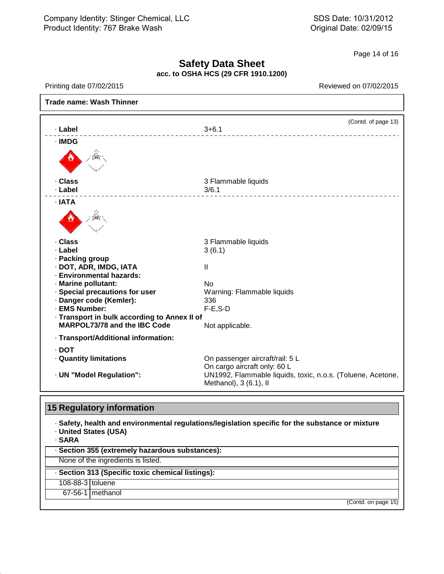## **Safety Data Sheet acc. to OSHA HCS (29 CFR 1910.1200)** Page 14 of 16<br> **Safety Data Sheet**<br>
acc. to OSHA HCS (29 CFR 1910.1200)<br>
Reviewed on 07/02/2015<br>
Reviewed on 07/02/2015<br>
Reviewed on 07/02/2015

Г

| · Label                                      | (Contd. of page 13)<br>$3 + 6.1$<br>______________________________                    |
|----------------------------------------------|---------------------------------------------------------------------------------------|
| · IMDG                                       |                                                                                       |
|                                              |                                                                                       |
| · Class                                      | 3 Flammable liquids                                                                   |
| · Label                                      | 3/6.1<br>-----------------------                                                      |
| · IATA                                       |                                                                                       |
|                                              |                                                                                       |
| · Class                                      | 3 Flammable liquids                                                                   |
| · Label                                      | 3(6.1)                                                                                |
| · Packing group                              |                                                                                       |
| · DOT, ADR, IMDG, IATA                       | Ш                                                                                     |
| · Environmental hazards:                     |                                                                                       |
| · Marine pollutant:                          | <b>No</b>                                                                             |
| · Special precautions for user               | Warning: Flammable liquids                                                            |
| · Danger code (Kemler):                      | 336                                                                                   |
| · EMS Number:                                | $F-E$ , $S-D$                                                                         |
| · Transport in bulk according to Annex II of |                                                                                       |
| <b>MARPOL73/78 and the IBC Code</b>          | Not applicable.                                                                       |
| · Transport/Additional information:          |                                                                                       |
| $\cdot$ DOT                                  |                                                                                       |
| · Quantity limitations                       | On passenger aircraft/rail: 5 L                                                       |
|                                              | On cargo aircraft only: 60 L                                                          |
| · UN "Model Regulation":                     | UN1992, Flammable liquids, toxic, n.o.s. (Toluene, Acetone,<br>Methanol), 3 (6.1), II |
| <b>15 Regulatory information</b>             |                                                                                       |

**Figure 1.5 Accords**<br>• Safety, health and environmental regulations/legislation specific for the substance or mixture<br>• United States (USA)<br>• SARA **15 Regulatory information**<br>· Safety, health and environm<br>· United States (USA)

41.0

| · SARA           | <u>io iloguialor y illioritalioni</u><br>. Safety, health and environmental regulations/legislation specific for the substance or mixture<br>· United States (USA) |
|------------------|--------------------------------------------------------------------------------------------------------------------------------------------------------------------|
|                  | · Section 355 (extremely hazardous substances):                                                                                                                    |
|                  | None of the ingredients is listed.                                                                                                                                 |
|                  | · Section 313 (Specific toxic chemical listings):                                                                                                                  |
| 108-88-3 toluene |                                                                                                                                                                    |
|                  | 67-56-1 methanol                                                                                                                                                   |
|                  | (Contd. on page 15)                                                                                                                                                |
|                  |                                                                                                                                                                    |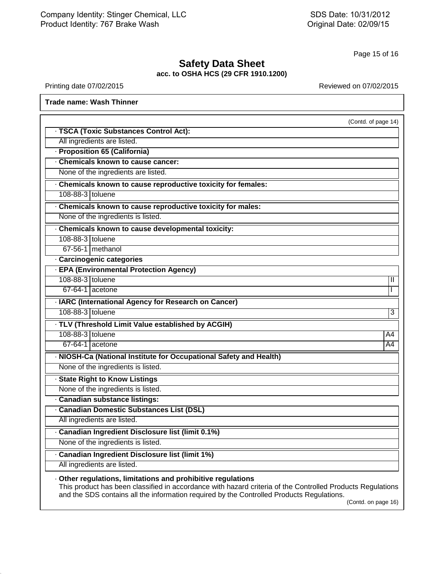## **Safety Data Sheet acc. to OSHA HCS (29 CFR 1910.1200)** Page 15 of 16<br> **Safety Data Sheet**<br>
acc. to OSHA HCS (29 CFR 1910.1200)<br>
Reviewed on 07/02/2015<br>
Reviewed on 07/02/2015<br>
Reviewed on 07/02/2015

41.0

|                                                                    | (Contd. of page 14) |
|--------------------------------------------------------------------|---------------------|
| · TSCA (Toxic Substances Control Act):                             |                     |
| All ingredients are listed.                                        |                     |
| · Proposition 65 (California)                                      |                     |
| . Chemicals known to cause cancer:                                 |                     |
| None of the ingredients are listed.                                |                     |
| . Chemicals known to cause reproductive toxicity for females:      |                     |
| 108-88-3 toluene                                                   |                     |
| · Chemicals known to cause reproductive toxicity for males:        |                     |
| None of the ingredients is listed.                                 |                     |
| · Chemicals known to cause developmental toxicity:                 |                     |
| 108-88-3 toluene                                                   |                     |
| 67-56-1 methanol                                                   |                     |
| · Carcinogenic categories                                          |                     |
| · EPA (Environmental Protection Agency)                            |                     |
| 108-88-3 toluene                                                   | Ш                   |
| $67-64-1$ acetone                                                  |                     |
| · IARC (International Agency for Research on Cancer)               |                     |
| 108-88-3 toluene                                                   | 3                   |
| · TLV (Threshold Limit Value established by ACGIH)                 |                     |
| 108-88-3 toluene                                                   | A4                  |
| $67-64-1$ acetone                                                  | A4                  |
| · NIOSH-Ca (National Institute for Occupational Safety and Health) |                     |
| None of the ingredients is listed.                                 |                     |
| · State Right to Know Listings                                     |                     |
| None of the ingredients is listed.                                 |                     |
| · Canadian substance listings:                                     |                     |
| <b>Canadian Domestic Substances List (DSL)</b>                     |                     |
| All ingredients are listed.                                        |                     |
| · Canadian Ingredient Disclosure list (limit 0.1%)                 |                     |
| None of the ingredients is listed.                                 |                     |
| · Canadian Ingredient Disclosure list (limit 1%)                   |                     |
| All ingredients are listed.                                        |                     |